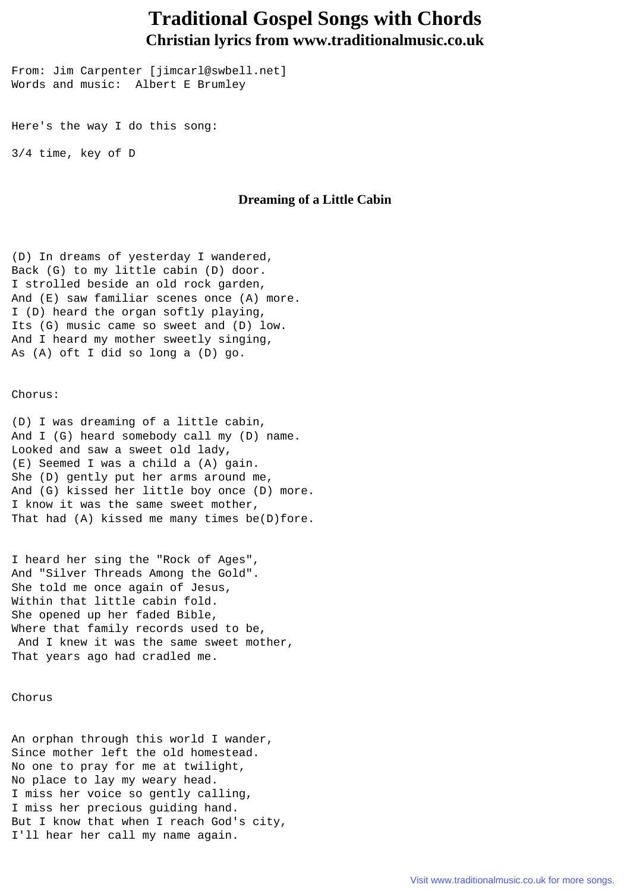## **Traditional Gospel Songs with Chords Christian lyrics from www.traditionalmusic.co.uk**

From: Jim Carpenter [jimcarl@swbell.net] Words and music: Albert E Brumley

Here's the way I do this song:

3/4 time, key of D

## **Dreaming of a Little Cabin**

(D) In dreams of yesterday I wandered, Back (G) to my little cabin (D) door. I strolled beside an old rock garden, And (E) saw familiar scenes once (A) more. I (D) heard the organ softly playing, Its (G) music came so sweet and (D) low. And I heard my mother sweetly singing, As (A) oft I did so long a (D) go.

Chorus:

(D) I was dreaming of a little cabin, And I (G) heard somebody call my (D) name. Looked and saw a sweet old lady, (E) Seemed I was a child a (A) gain. She (D) gently put her arms around me, And (G) kissed her little boy once (D) more. I know it was the same sweet mother, That had (A) kissed me many times be(D)fore.

I heard her sing the "Rock of Ages", And "Silver Threads Among the Gold". She told me once again of Jesus, Within that little cabin fold. She opened up her faded Bible, Where that family records used to be, And I knew it was the same sweet mother, That years ago had cradled me.

## Chorus

An orphan through this world I wander, Since mother left the old homestead. No one to pray for me at twilight, No place to lay my weary head. I miss her voice so gently calling, I miss her precious guiding hand. But I know that when I reach God's city, I'll hear her call my name again.